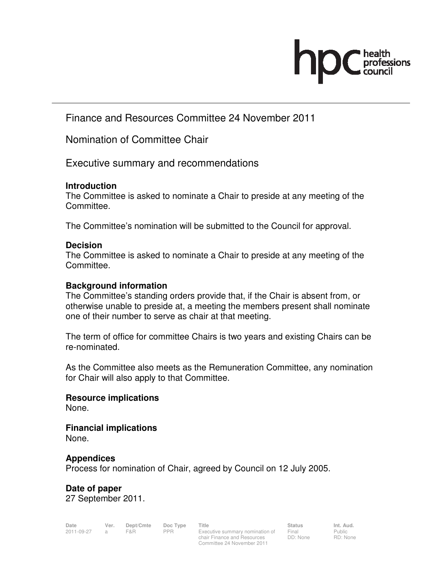

Finance and Resources Committee 24 November 2011

Nomination of Committee Chair

Executive summary and recommendations

### **Introduction**

The Committee is asked to nominate a Chair to preside at any meeting of the Committee.

The Committee's nomination will be submitted to the Council for approval.

## **Decision**

The Committee is asked to nominate a Chair to preside at any meeting of the Committee.

## **Background information**

The Committee's standing orders provide that, if the Chair is absent from, or otherwise unable to preside at, a meeting the members present shall nominate one of their number to serve as chair at that meeting.

The term of office for committee Chairs is two years and existing Chairs can be re-nominated.

As the Committee also meets as the Remuneration Committee, any nomination for Chair will also apply to that Committee.

# **Resource implications**

None.

**Financial implications**  None.

# **Appendices**

Process for nomination of Chair, agreed by Council on 12 July 2005.

**Date of paper**  27 September 2011.

**Date Ver. Dept/Cmte Doc Type Title Status Status Int. Aud.**<br>
2011-09-27 a F&R PPR Executive summary nomination of Final Public

Executive summary nomination of chair Finance and Resources Committee 24 November 2011

Final DD: None Public RD: None